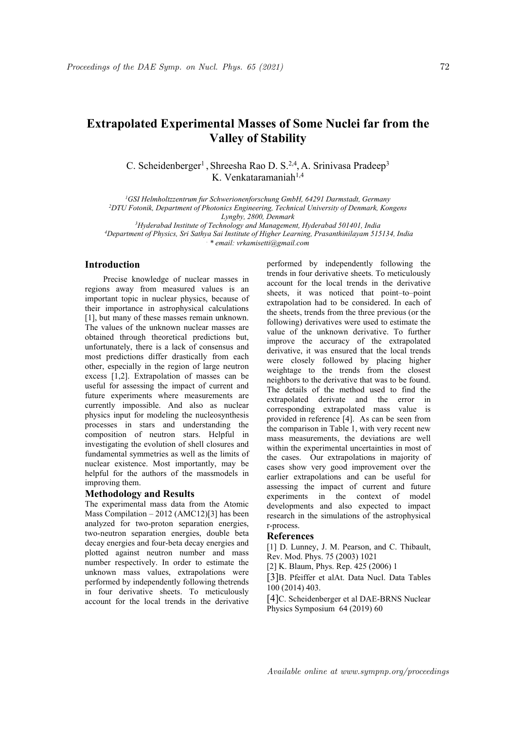## **Extrapolated Experimental Masses of Some Nuclei far from the Valley of Stability**

C. Scheidenberger<sup>1</sup>, Shreesha Rao D. S.<sup>2,4</sup>, A. Srinivasa Pradeep<sup>3</sup> 3 K. Venkataramaniah<sup>1,4</sup>

*<sup>1</sup>GSI Helmholtzzentrum fur Schwerionenforschung GmbH, 64291 Darmstadt, Germany*

*<sup>2</sup>DTU Fotonik, Department of Photonics Engineering, Technical University of Denmark, Kongens Lyngby, 2800, Denmark*

*<sup>3</sup>Hyderabad Institute of Technology and Management, Hyderabad 501401, India*

*<sup>4</sup>Department of Physics, Sri Sathya Sai Institute of Higher Learning, Prasanthinilayam 515134, India*

*. \* email: vrkamisetti@gmail.com*

## **Introduction**

Precise knowledge of nuclear masses in regions away from measured values is an important topic in nuclear physics, because of their importance in astrophysical calculations [1], but many of these masses remain unknown. The values of the unknown nuclear masses are obtained through theoretical predictions but, unfortunately, there is a lack of consensus and most predictions differ drastically from each other, especially in the region of large neutron excess [1,2].Extrapolation of masses can be useful for assessing the impact of current and future experiments where measurements are currently impossible. And also as nuclear physics input for modeling the nucleosynthesis processes in stars and understanding the composition of neutron stars. Helpful in investigating the evolution of shell closures and fundamental symmetries as well as the limits of nuclear existence. Most importantly, may be helpful for the authors of the massmodels in improving them.

## **Methodology and Results**

The experimental mass data from the Atomic Mass Compilation  $-2012$  (AMC12)[3] has been analyzed for two-proton separation energies, two-neutron separation energies, double beta decay energies and four-beta decay energies and plotted against neutron number and mass number respectively. In order to estimate the unknown mass values, extrapolations were performed by independently following thetrends in four derivative sheets. To meticulously account for the local trends in the derivative performed by independently following the trends in four derivative sheets. To meticulously account for the local trends in the derivative sheets, it was noticed that point–to–point extrapolation had to be considered. In each of the sheets, trends from the three previous (or the following) derivatives were used to estimate the value of the unknown derivative.To further improve the accuracy of the extrapolated derivative, it was ensured that the local trends were closely followed by placing higher weightage to the trends from the closest neighbors to the derivative that was to be found. The details of the method used to find the extrapolated derivate and the error in corresponding extrapolated mass value is provided in reference [4]. As can be seen from the comparison in Table 1, with very recent new mass measurements, the deviations are well within the experimental uncertainties in most of the cases. Our extrapolations in majority of cases show very good improvement over the earlier extrapolations and can be useful for assessing the impact of current and future experiments in the context of model developments and also expected to impact research in the simulations of the astrophysical r-process.

## **References**

[1] D. Lunney, J. M. Pearson, and C. Thibault, Rev. Mod. Phys. 75 (2003) 1021

[2] K. Blaum, Phys. Rep. 425 (2006) 1

[3]B. Pfeiffer et alAt. Data Nucl. Data Tables 100 (2014) 403.

[4]C. Scheidenberger et al DAE-BRNS Nuclear Physics Symposium 64 (2019) 60